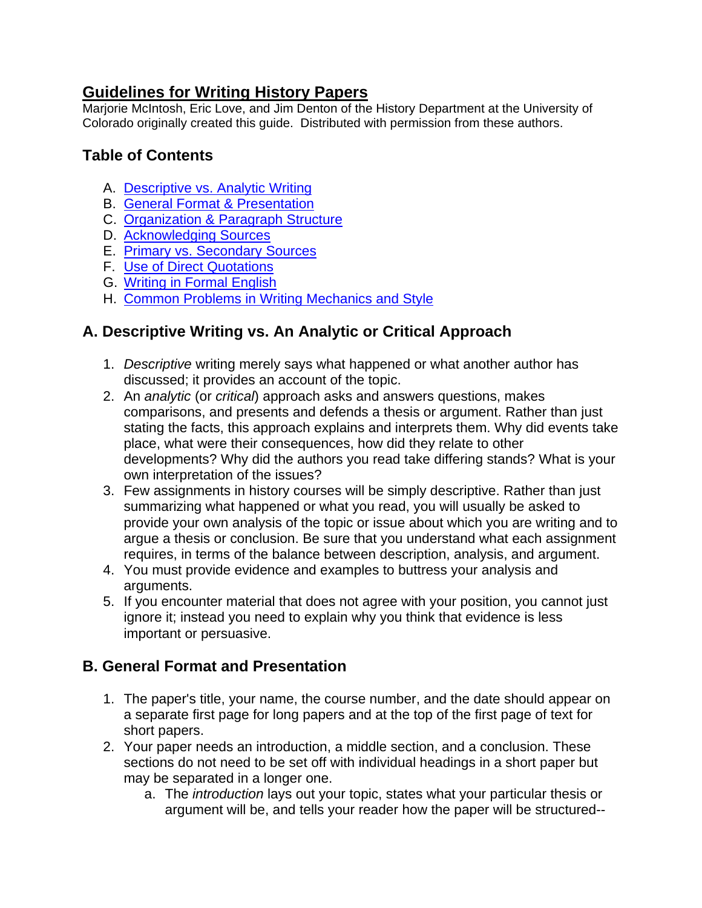### **Guidelines for Writing History Papers**

Marjorie McIntosh, Eric Love, and Jim Denton of the History Department at the University of Colorado originally created this guide. Distributed with permission from these authors.

#### **Table of Contents**

- A. Descriptive vs. Analytic Writing
- B. General Format & Presentation
- C. Organization & Paragraph Structure
- D. Acknowledging Sources
- E. Primary vs. Secondary Sources
- F. Use of Direct Quotations
- G. Writing in Formal English
- H. Common Problems in Writing Mechanics and Style

# **A. Descriptive Writing vs. An Analytic or Critical Approach**

- 1. *Descriptive* writing merely says what happened or what another author has discussed; it provides an account of the topic.
- 2. An *analytic* (or *critical*) approach asks and answers questions, makes comparisons, and presents and defends a thesis or argument. Rather than just stating the facts, this approach explains and interprets them. Why did events take place, what were their consequences, how did they relate to other developments? Why did the authors you read take differing stands? What is your own interpretation of the issues?
- 3. Few assignments in history courses will be simply descriptive. Rather than just summarizing what happened or what you read, you will usually be asked to provide your own analysis of the topic or issue about which you are writing and to argue a thesis or conclusion. Be sure that you understand what each assignment requires, in terms of the balance between description, analysis, and argument.
- 4. You must provide evidence and examples to buttress your analysis and arguments.
- 5. If you encounter material that does not agree with your position, you cannot just ignore it; instead you need to explain why you think that evidence is less important or persuasive.

### **B. General Format and Presentation**

- 1. The paper's title, your name, the course number, and the date should appear on a separate first page for long papers and at the top of the first page of text for short papers.
- 2. Your paper needs an introduction, a middle section, and a conclusion. These sections do not need to be set off with individual headings in a short paper but may be separated in a longer one.
	- a. The *introduction* lays out your topic, states what your particular thesis or argument will be, and tells your reader how the paper will be structured--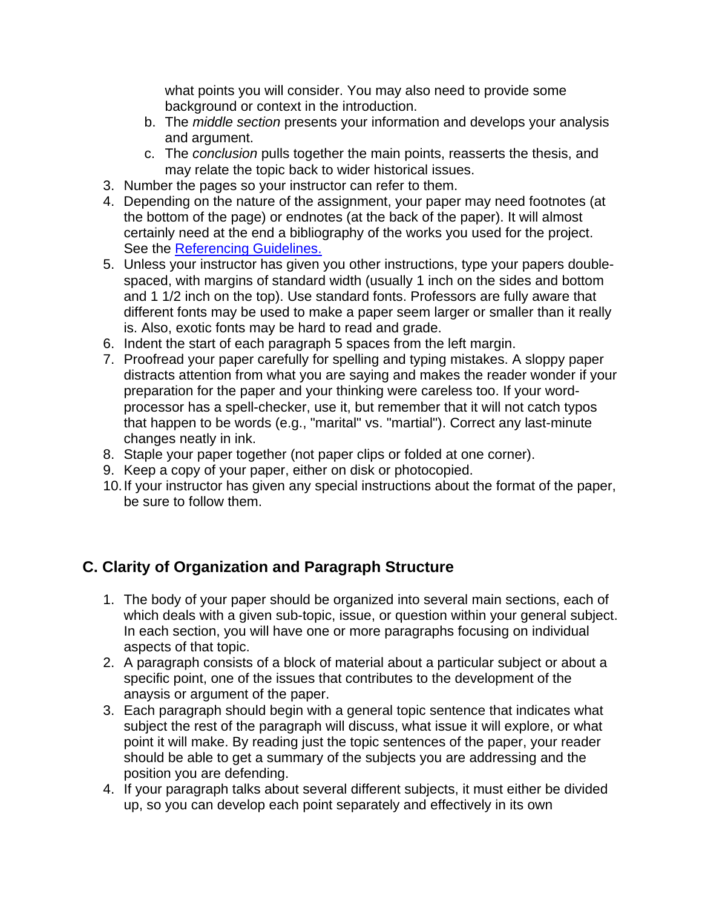what points you will consider. You may also need to provide some background or context in the introduction.

- b. The *middle section* presents your information and develops your analysis and argument.
- c. The *conclusion* pulls together the main points, reasserts the thesis, and may relate the topic back to wider historical issues.
- 3. Number the pages so your instructor can refer to them.
- 4. Depending on the nature of the assignment, your paper may need footnotes (at the bottom of the page) or endnotes (at the back of the paper). It will almost certainly need at the end a bibliography of the works you used for the project. See the Referencing Guidelines.
- 5. Unless your instructor has given you other instructions, type your papers doublespaced, with margins of standard width (usually 1 inch on the sides and bottom and 1 1/2 inch on the top). Use standard fonts. Professors are fully aware that different fonts may be used to make a paper seem larger or smaller than it really is. Also, exotic fonts may be hard to read and grade.
- 6. Indent the start of each paragraph 5 spaces from the left margin.
- 7. Proofread your paper carefully for spelling and typing mistakes. A sloppy paper distracts attention from what you are saying and makes the reader wonder if your preparation for the paper and your thinking were careless too. If your wordprocessor has a spell-checker, use it, but remember that it will not catch typos that happen to be words (e.g., "marital" vs. "martial"). Correct any last-minute changes neatly in ink.
- 8. Staple your paper together (not paper clips or folded at one corner).
- 9. Keep a copy of your paper, either on disk or photocopied.
- 10. If your instructor has given any special instructions about the format of the paper, be sure to follow them.

# **C. Clarity of Organization and Paragraph Structure**

- 1. The body of your paper should be organized into several main sections, each of which deals with a given sub-topic, issue, or question within your general subject. In each section, you will have one or more paragraphs focusing on individual aspects of that topic.
- 2. A paragraph consists of a block of material about a particular subject or about a specific point, one of the issues that contributes to the development of the anaysis or argument of the paper.
- 3. Each paragraph should begin with a general topic sentence that indicates what subject the rest of the paragraph will discuss, what issue it will explore, or what point it will make. By reading just the topic sentences of the paper, your reader should be able to get a summary of the subjects you are addressing and the position you are defending.
- 4. If your paragraph talks about several different subjects, it must either be divided up, so you can develop each point separately and effectively in its own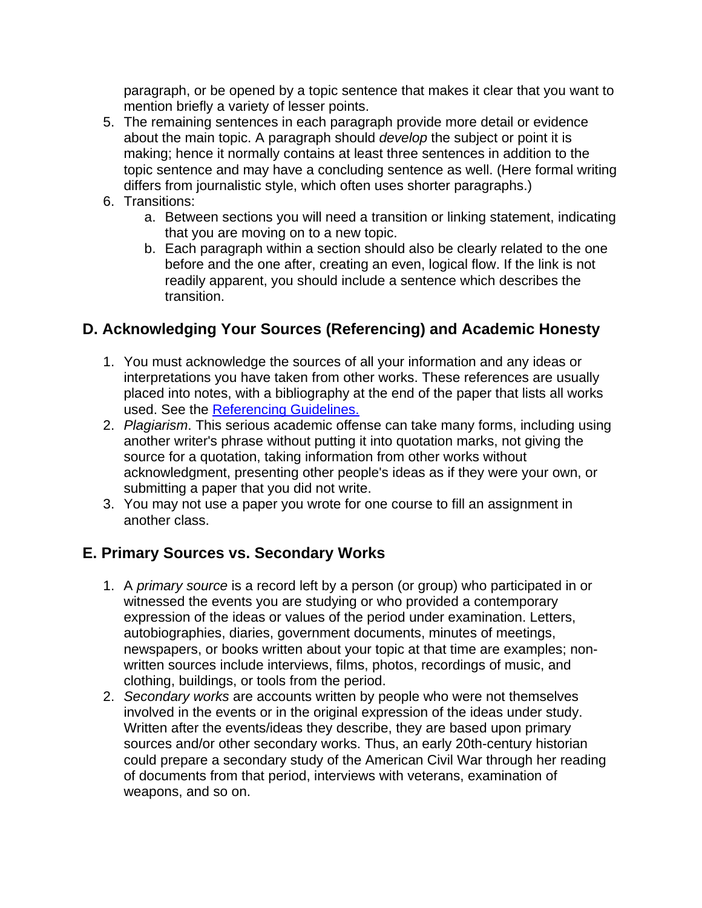paragraph, or be opened by a topic sentence that makes it clear that you want to mention briefly a variety of lesser points.

- 5. The remaining sentences in each paragraph provide more detail or evidence about the main topic. A paragraph should *develop* the subject or point it is making; hence it normally contains at least three sentences in addition to the topic sentence and may have a concluding sentence as well. (Here formal writing differs from journalistic style, which often uses shorter paragraphs.)
- 6. Transitions:
	- a. Between sections you will need a transition or linking statement, indicating that you are moving on to a new topic.
	- b. Each paragraph within a section should also be clearly related to the one before and the one after, creating an even, logical flow. If the link is not readily apparent, you should include a sentence which describes the transition.

### **D. Acknowledging Your Sources (Referencing) and Academic Honesty**

- 1. You must acknowledge the sources of all your information and any ideas or interpretations you have taken from other works. These references are usually placed into notes, with a bibliography at the end of the paper that lists all works used. See the Referencing Guidelines.
- 2. *Plagiarism*. This serious academic offense can take many forms, including using another writer's phrase without putting it into quotation marks, not giving the source for a quotation, taking information from other works without acknowledgment, presenting other people's ideas as if they were your own, or submitting a paper that you did not write.
- 3. You may not use a paper you wrote for one course to fill an assignment in another class.

### **E. Primary Sources vs. Secondary Works**

- 1. A *primary source* is a record left by a person (or group) who participated in or witnessed the events you are studying or who provided a contemporary expression of the ideas or values of the period under examination. Letters, autobiographies, diaries, government documents, minutes of meetings, newspapers, or books written about your topic at that time are examples; nonwritten sources include interviews, films, photos, recordings of music, and clothing, buildings, or tools from the period.
- 2. *Secondary works* are accounts written by people who were not themselves involved in the events or in the original expression of the ideas under study. Written after the events/ideas they describe, they are based upon primary sources and/or other secondary works. Thus, an early 20th-century historian could prepare a secondary study of the American Civil War through her reading of documents from that period, interviews with veterans, examination of weapons, and so on.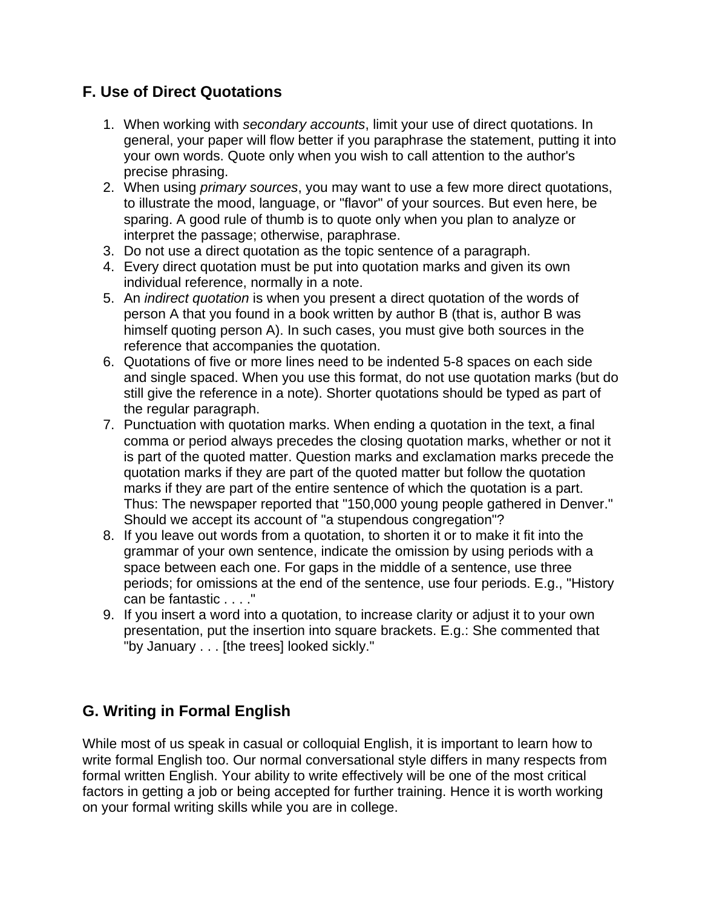### **F. Use of Direct Quotations**

- 1. When working with *secondary accounts*, limit your use of direct quotations. In general, your paper will flow better if you paraphrase the statement, putting it into your own words. Quote only when you wish to call attention to the author's precise phrasing.
- 2. When using *primary sources*, you may want to use a few more direct quotations, to illustrate the mood, language, or "flavor" of your sources. But even here, be sparing. A good rule of thumb is to quote only when you plan to analyze or interpret the passage; otherwise, paraphrase.
- 3. Do not use a direct quotation as the topic sentence of a paragraph.
- 4. Every direct quotation must be put into quotation marks and given its own individual reference, normally in a note.
- 5. An *indirect quotation* is when you present a direct quotation of the words of person A that you found in a book written by author B (that is, author B was himself quoting person A). In such cases, you must give both sources in the reference that accompanies the quotation.
- 6. Quotations of five or more lines need to be indented 5-8 spaces on each side and single spaced. When you use this format, do not use quotation marks (but do still give the reference in a note). Shorter quotations should be typed as part of the regular paragraph.
- 7. Punctuation with quotation marks. When ending a quotation in the text, a final comma or period always precedes the closing quotation marks, whether or not it is part of the quoted matter. Question marks and exclamation marks precede the quotation marks if they are part of the quoted matter but follow the quotation marks if they are part of the entire sentence of which the quotation is a part. Thus: The newspaper reported that "150,000 young people gathered in Denver." Should we accept its account of "a stupendous congregation"?
- 8. If you leave out words from a quotation, to shorten it or to make it fit into the grammar of your own sentence, indicate the omission by using periods with a space between each one. For gaps in the middle of a sentence, use three periods; for omissions at the end of the sentence, use four periods. E.g., "History can be fantastic . . . ."
- 9. If you insert a word into a quotation, to increase clarity or adjust it to your own presentation, put the insertion into square brackets. E.g.: She commented that "by January . . . [the trees] looked sickly."

### **G. Writing in Formal English**

While most of us speak in casual or colloquial English, it is important to learn how to write formal English too. Our normal conversational style differs in many respects from formal written English. Your ability to write effectively will be one of the most critical factors in getting a job or being accepted for further training. Hence it is worth working on your formal writing skills while you are in college.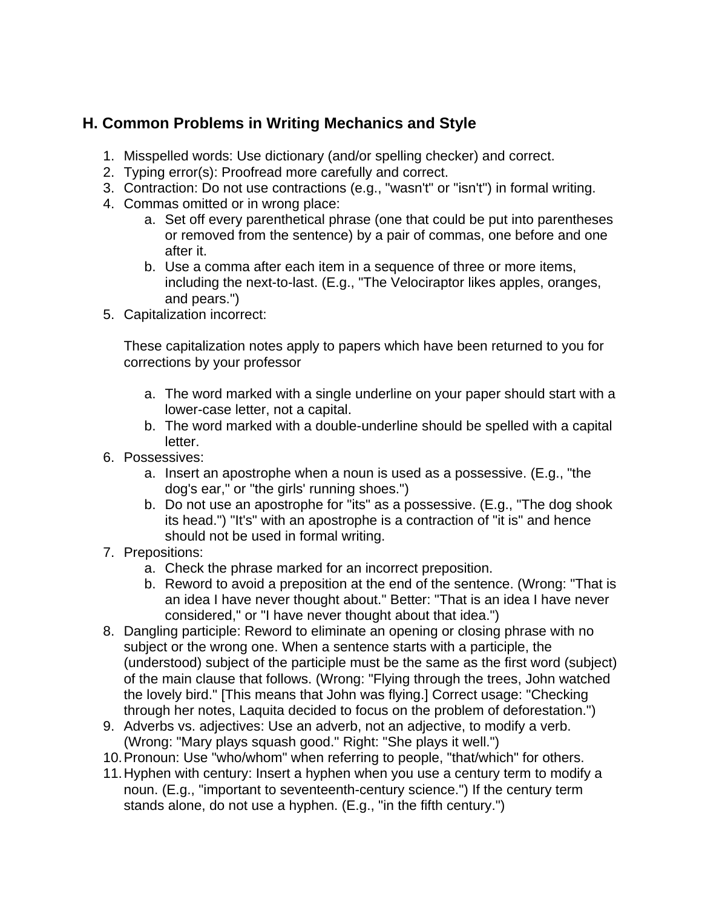## **H. Common Problems in Writing Mechanics and Style**

- 1. Misspelled words: Use dictionary (and/or spelling checker) and correct.
- 2. Typing error(s): Proofread more carefully and correct.
- 3. Contraction: Do not use contractions (e.g., "wasn't" or "isn't") in formal writing.
- 4. Commas omitted or in wrong place:
	- a. Set off every parenthetical phrase (one that could be put into parentheses or removed from the sentence) by a pair of commas, one before and one after it.
	- b. Use a comma after each item in a sequence of three or more items, including the next-to-last. (E.g., "The Velociraptor likes apples, oranges, and pears.")
- 5. Capitalization incorrect:

These capitalization notes apply to papers which have been returned to you for corrections by your professor

- a. The word marked with a single underline on your paper should start with a lower-case letter, not a capital.
- b. The word marked with a double-underline should be spelled with a capital letter.
- 6. Possessives:
	- a. Insert an apostrophe when a noun is used as a possessive. (E.g., "the dog's ear," or "the girls' running shoes.")
	- b. Do not use an apostrophe for "its" as a possessive. (E.g., "The dog shook its head.") "It's" with an apostrophe is a contraction of "it is" and hence should not be used in formal writing.
- 7. Prepositions:
	- a. Check the phrase marked for an incorrect preposition.
	- b. Reword to avoid a preposition at the end of the sentence. (Wrong: "That is an idea I have never thought about." Better: "That is an idea I have never considered," or "I have never thought about that idea.")
- 8. Dangling participle: Reword to eliminate an opening or closing phrase with no subject or the wrong one. When a sentence starts with a participle, the (understood) subject of the participle must be the same as the first word (subject) of the main clause that follows. (Wrong: "Flying through the trees, John watched the lovely bird." [This means that John was flying.] Correct usage: "Checking through her notes, Laquita decided to focus on the problem of deforestation.")
- 9. Adverbs vs. adjectives: Use an adverb, not an adjective, to modify a verb. (Wrong: "Mary plays squash good." Right: "She plays it well.")
- 10. Pronoun: Use "who/whom" when referring to people, "that/which" for others.
- 11. Hyphen with century: Insert a hyphen when you use a century term to modify a noun. (E.g., "important to seventeenth-century science.") If the century term stands alone, do not use a hyphen. (E.g., "in the fifth century.")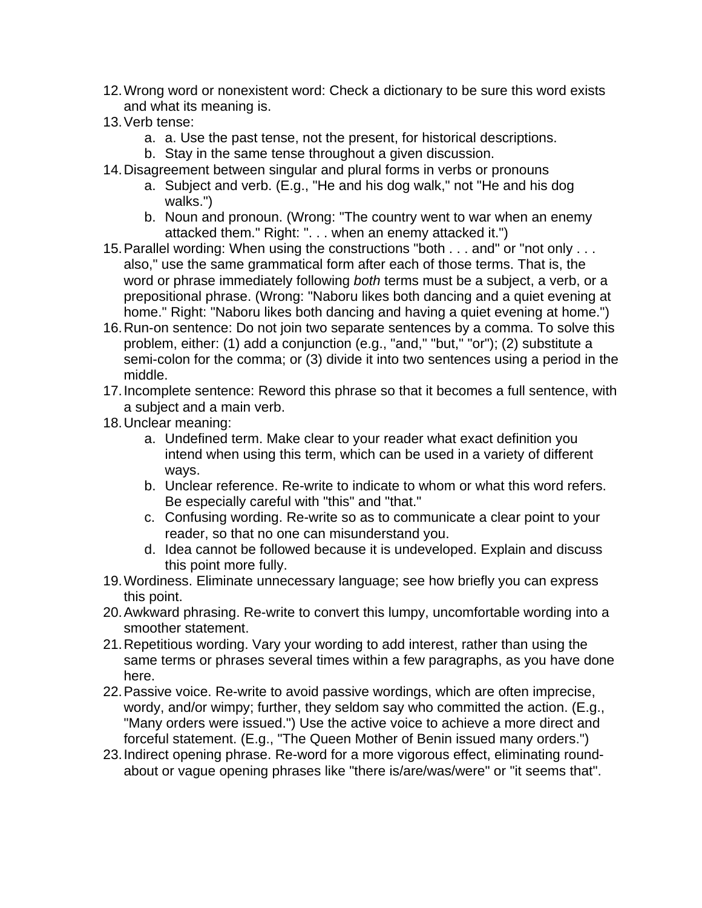- 12. Wrong word or nonexistent word: Check a dictionary to be sure this word exists and what its meaning is.
- 13. Verb tense:
	- a. a. Use the past tense, not the present, for historical descriptions.
	- b. Stay in the same tense throughout a given discussion.
- 14. Disagreement between singular and plural forms in verbs or pronouns
	- a. Subject and verb. (E.g., "He and his dog walk," not "He and his dog walks.")
	- b. Noun and pronoun. (Wrong: "The country went to war when an enemy attacked them." Right: ". . . when an enemy attacked it.")
- 15. Parallel wording: When using the constructions "both . . . and" or "not only . . . also," use the same grammatical form after each of those terms. That is, the word or phrase immediately following *both* terms must be a subject, a verb, or a prepositional phrase. (Wrong: "Naboru likes both dancing and a quiet evening at home." Right: "Naboru likes both dancing and having a quiet evening at home.")
- 16. Run-on sentence: Do not join two separate sentences by a comma. To solve this problem, either: (1) add a conjunction (e.g., "and," "but," "or"); (2) substitute a semi-colon for the comma; or (3) divide it into two sentences using a period in the middle.
- 17. Incomplete sentence: Reword this phrase so that it becomes a full sentence, with a subject and a main verb.
- 18. Unclear meaning:
	- a. Undefined term. Make clear to your reader what exact definition you intend when using this term, which can be used in a variety of different ways.
	- b. Unclear reference. Re-write to indicate to whom or what this word refers. Be especially careful with "this" and "that."
	- c. Confusing wording. Re-write so as to communicate a clear point to your reader, so that no one can misunderstand you.
	- d. Idea cannot be followed because it is undeveloped. Explain and discuss this point more fully.
- 19. Wordiness. Eliminate unnecessary language; see how briefly you can express this point.
- 20. Awkward phrasing. Re-write to convert this lumpy, uncomfortable wording into a smoother statement.
- 21. Repetitious wording. Vary your wording to add interest, rather than using the same terms or phrases several times within a few paragraphs, as you have done here.
- 22. Passive voice. Re-write to avoid passive wordings, which are often imprecise, wordy, and/or wimpy; further, they seldom say who committed the action. (E.g., "Many orders were issued.") Use the active voice to achieve a more direct and forceful statement. (E.g., "The Queen Mother of Benin issued many orders.")
- 23. Indirect opening phrase. Re-word for a more vigorous effect, eliminating roundabout or vague opening phrases like "there is/are/was/were" or "it seems that".